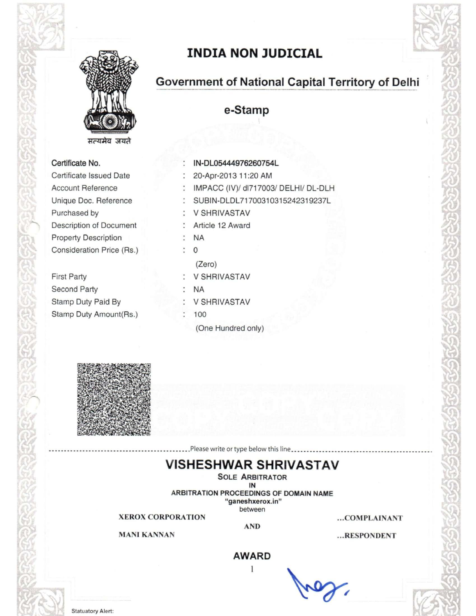

**INDIA NON JUDICIAL** 

# Government of National Capital Territory of Delhi

e-Stamp

#### Certificate No.

Certificate Issued Date **Account Reference** Unique Doc. Reference Purchased by Description of Document **Property Description** Consideration Price (Rs.)

**First Party** Second Party Stamp Duty Paid By Stamp Duty Amount(Rs.)

IN-DL05444976260754L 20-Apr-2013 11:20 AM : IMPACC (IV)/ dl717003/ DELHI/ DL-DLH : SUBIN-DLDL71700310315242319237L : V SHRIVASTAV : Article 12 Award  $: NA$  $\ddot{ }$  0  $(Zero)$ : V SHRIVASTAV  $: NA$ : V SHRIVASTAV  $: 100$ (One Hundred only)



#### .....................Please write or type below this line.......................

## **VISHESHWAR SHRIVASTAV**

**SOLE ARBITRATOR** IN ARBITRATION PROCEEDINGS OF DOMAIN NAME "ganeshxerox.in"

between

...COMPLAINANT

**MANI KANNAN** 

**XEROX CORPORATION** 

**AND** 

...RESPONDENT

### **AWARD**

1

**Statuatory Alert:**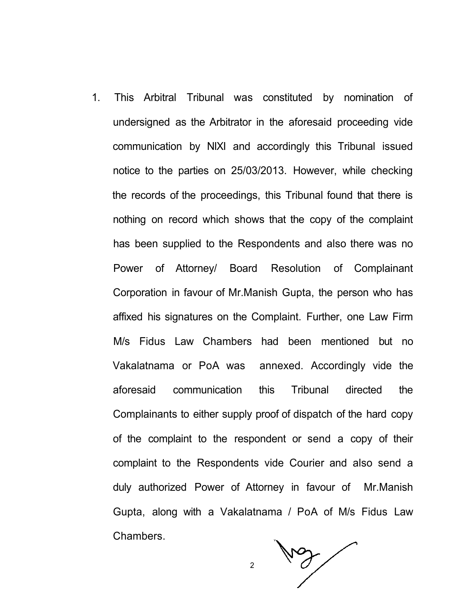1. This Arbitral Tribunal was constituted by nomination of undersigned as the Arbitrator in the aforesaid proceeding vide communication by NIXI and accordingly this Tribunal issued notice to the parties on 25/03/2013. However, while checking the records of the proceedings, this Tribunal found that there is nothing on record which shows that the copy of the complaint has been supplied to the Respondents and also there was no Power of Attorney/ Board Resolution of Complainant Corporation in favour of Mr.Manish Gupta, the person who has affixed his signatures on the Complaint. Further, one Law Firm M/s Fidus Law Chambers had been mentioned but no Vakalatnama or PoA was annexed. Accordingly vide the aforesaid communication this Tribunal directed the Complainants to either supply proof of dispatch of the hard copy of the complaint to the respondent or send a copy of their complaint to the Respondents vide Courier and also send a duly authorized Power of Attorney in favour of Mr.Manish Gupta, along with a Vakalatnama / PoA of M/s Fidus Law Chambers.

2

May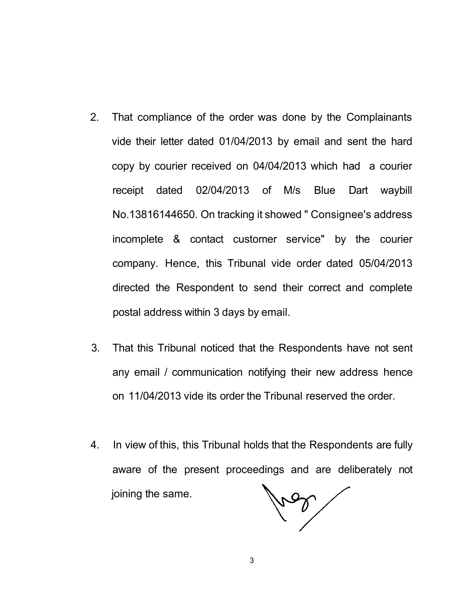- 2. That compliance of the order was done by the Complainants vide their letter dated 01/04/2013 by email and sent the hard copy by courier received on 04/04/2013 which had a courier receipt dated 02/04/2013 of M/s Blue Dart waybill No.13816144650. On tracking it showed " Consignee's address incomplete & contact customer service" by the courier company. Hence, this Tribunal vide order dated 05/04/2013 directed the Respondent to send their correct and complete postal address within 3 days by email.
- 3. That this Tribunal noticed that the Respondents have not sent any email / communication notifying their new address hence on 11/04/2013 vide its order the Tribunal reserved the order.
- 4. In view of this, this Tribunal holds that the Respondents are fully aware of the present proceedings and are deliberately not joining the same.

res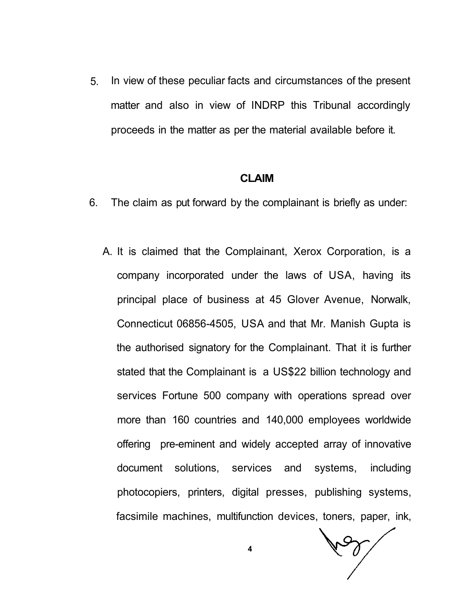5. In view of these peculiar facts and circumstances of the present matter and also in view of INDRP this Tribunal accordingly proceeds in the matter as per the material available before it.

### **CLAIM**

- 6. The claim as put forward by the complainant is briefly as under:
	- A. It is claimed that the Complainant, Xerox Corporation, is a company incorporated under the laws of USA, having its principal place of business at 45 Glover Avenue, Norwalk, Connecticut 06856-4505, USA and that Mr. Manish Gupta is the authorised signatory for the Complainant. That it is further stated that the Complainant is a US\$22 billion technology and services Fortune 500 company with operations spread over more than 160 countries and 140,000 employees worldwide offering pre-eminent and widely accepted array of innovative document solutions, services and systems, including photocopiers, printers, digital presses, publishing systems, facsimile machines, multifunction devices, toners, paper, ink,

200

**4**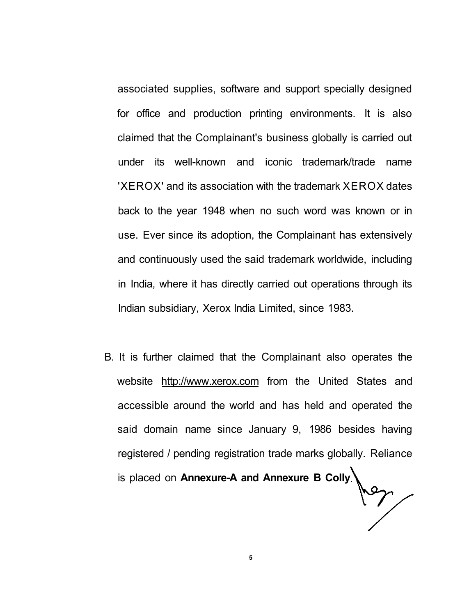associated supplies, software and support specially designed for office and production printing environments. It is also claimed that the Complainant's business globally is carried out under its well-known and iconic trademark/trade name 'XEROX' and its association with the trademark XEROX dates back to the year 1948 when no such word was known or in use. Ever since its adoption, the Complainant has extensively and continuously used the said trademark worldwide, including in India, where it has directly carried out operations through its Indian subsidiary, Xerox India Limited, since 1983.

B. It is further claimed that the Complainant also operates the website [http://www.xerox.com f](http://www.xerox.com)rom the United States and accessible around the world and has held and operated the said domain name since January 9, 1986 besides having registered / pending registration trade marks globally. Reliance is placed on **Annexure-A and Annexure B Colly**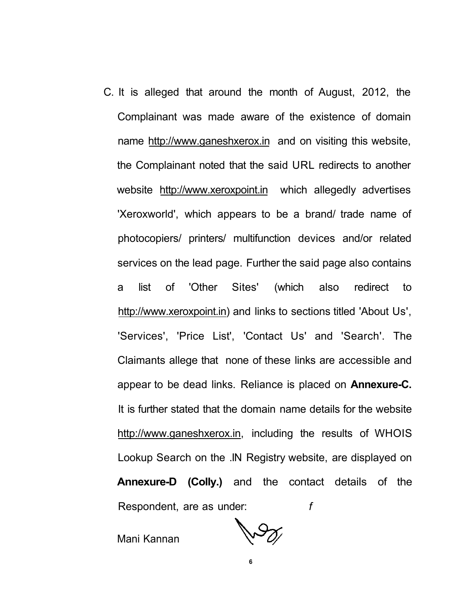C. It is alleged that around the month of August, 2012, the Complainant was made aware of the existence of domain name <http://www.ganeshxerox.in>and on visiting this website, the Complainant noted that the said URL redirects to another website [http://www.xeroxpoint.in w](http://www.xeroxpoint.in)hich allegedly advertises 'Xeroxworld', which appears to be a brand/ trade name of photocopiers/ printers/ multifunction devices and/or related services on the lead page. Further the said page also contains a list of 'Other Sites' (which also redirect to [http://www.xeroxpoint.in\)](http://www.xeroxpoint.in) and links to sections titled 'About Us', 'Services', 'Price List', 'Contact Us' and 'Search'. The Claimants allege that none of these links are accessible and appear to be dead links. Reliance is placed on **Annexure-C.**  It is further stated that the domain name details for the website [http://www.ganeshxerox.in,](http://www.ganeshxerox.in) including the results of WHOIS Lookup Search on the .IN Registry website, are displayed on **Annexure-D (Colly.)** and the contact details of the Respondent, are as under: *f* 

Mani Kannan

 $\sqrt{2}$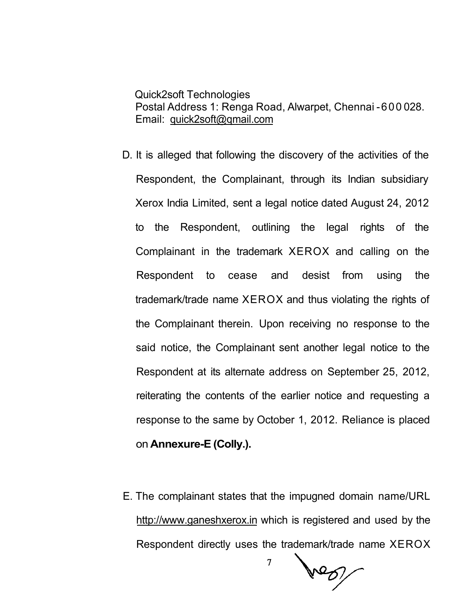Quick2soft Technologies Postal Address 1: Renga Road, Alwarpet, Chennai -600 028. Email: [quick2soft@qmail.com](mailto:quick2soft@qmail.com)

- D. It is alleged that following the discovery of the activities of the Respondent, the Complainant, through its Indian subsidiary Xerox India Limited, sent a legal notice dated August 24, 2012 to the Respondent, outlining the legal rights of the Complainant in the trademark XEROX and calling on the Respondent to cease and desist from using the trademark/trade name XEROX and thus violating the rights of the Complainant therein. Upon receiving no response to the said notice, the Complainant sent another legal notice to the Respondent at its alternate address on September 25, 2012, reiterating the contents of the earlier notice and requesting a response to the same by October 1, 2012. Reliance is placed on **Annexure-E (Colly.).**
- E. The complainant states that the impugned domain name/URL [http://www.ganeshxerox.in w](http://www.ganeshxerox.in)hich is registered and used by the Respondent directly uses the trademark/trade name XEROX

 $\overline{7}$ 

her !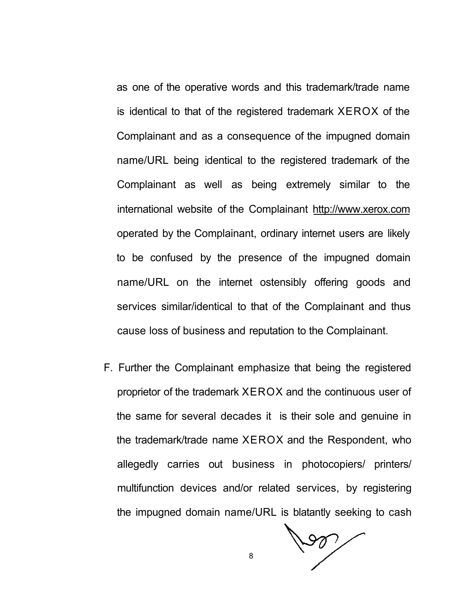as one of the operative words and this trademark/trade name is identical to that of the registered trademark XEROX of the Complainant and as a consequence of the impugned domain name/URL being identical to the registered trademark of the Complainant as well as being extremely similar to the international website of the Complainant <http://www.xerox.com> operated by the Complainant, ordinary internet users are likely to be confused by the presence of the impugned domain name/URL on the internet ostensibly offering goods and services similar/identical to that of the Complainant and thus cause loss of business and reputation to the Complainant.

F. Further the Complainant emphasize that being the registered proprietor of the trademark XEROX and the continuous user of the same for several decades it is their sole and genuine in the trademark/trade name XEROX and the Respondent, who allegedly carries out business in photocopiers/ printers/ multifunction devices and/or related services, by registering the impugned domain name/URL is blatantly seeking to cash

 $\sqrt{20}$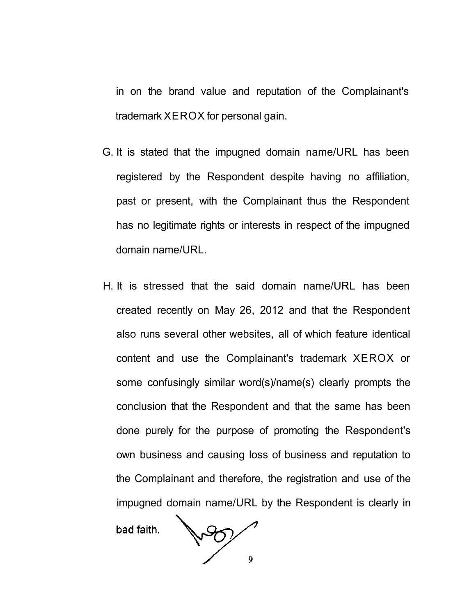in on the brand value and reputation of the Complainant's trademark XEROX for personal gain.

- G. It is stated that the impugned domain name/URL has been registered by the Respondent despite having no affiliation, past or present, with the Complainant thus the Respondent has no legitimate rights or interests in respect of the impugned domain name/URL.
- H. It is stressed that the said domain name/URL has been created recently on May 26, 2012 and that the Respondent also runs several other websites, all of which feature identical content and use the Complainant's trademark XEROX or some confusingly similar word(s)/name(s) clearly prompts the conclusion that the Respondent and that the same has been done purely for the purpose of promoting the Respondent's own business and causing loss of business and reputation to the Complainant and therefore, the registration and use of the impugned domain name/URL by the Respondent is clearly in

bad faith.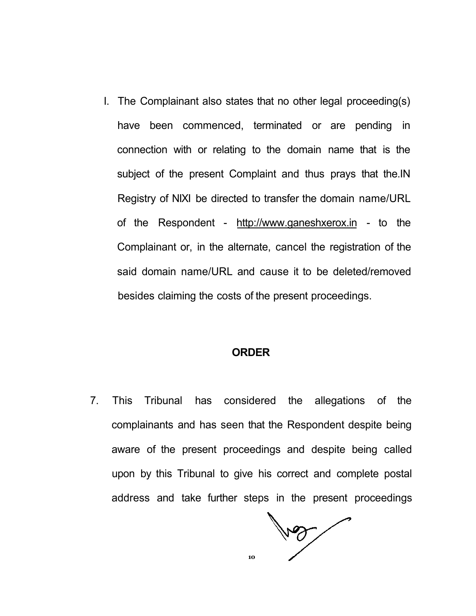I. The Complainant also states that no other legal proceeding(s) have been commenced, terminated or are pending in connection with or relating to the domain name that is the subject of the present Complaint and thus prays that the.IN Registry of NIXI be directed to transfer the domain name/URL of the Respondent - [http://www.ganeshxerox.in -](http://www.ganeshxerox.in) to the Complainant or, in the alternate, cancel the registration of the said domain name/URL and cause it to be deleted/removed besides claiming the costs of the present proceedings.

### **ORDER**

7. This Tribunal has considered the allegations of the complainants and has seen that the Respondent despite being aware of the present proceedings and despite being called upon by this Tribunal to give his correct and complete postal address and take further steps in the present proceedings

voy